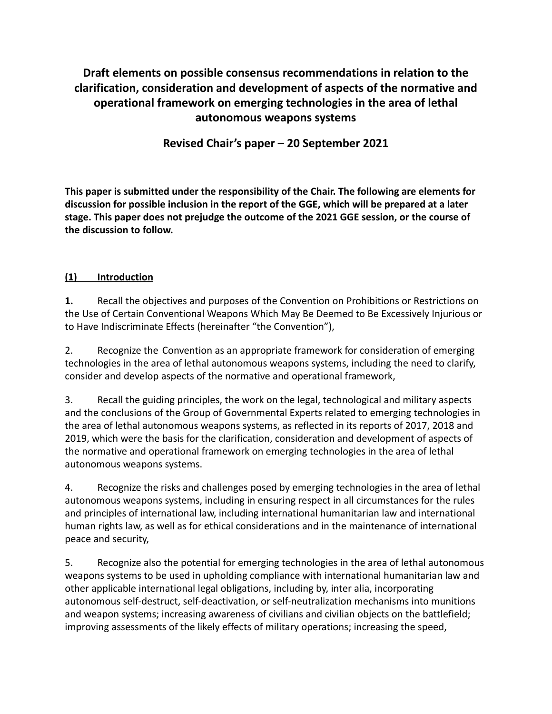**Draft elements on possible consensus recommendations in relation to the clarification, consideration and development of aspects of the normative and operational framework on emerging technologies in the area of lethal autonomous weapons systems**

**Revised Chair's paper – 20 September 2021**

**This paper is submitted under the responsibility of the Chair. The following are elements for discussion for possible inclusion in the report of the GGE, which will be prepared at a later stage. This paper does not prejudge the outcome of the 2021 GGE session, or the course of the discussion to follow.**

#### **(1) Introduction**

**1.** Recall the objectives and purposes of the Convention on Prohibitions or Restrictions on the Use of Certain Conventional Weapons Which May Be Deemed to Be Excessively Injurious or to Have Indiscriminate Effects (hereinafter "the Convention"),

2. Recognize the Convention as an appropriate framework for consideration of emerging technologies in the area of lethal autonomous weapons systems, including the need to clarify, consider and develop aspects of the normative and operational framework,

3. Recall the guiding principles, the work on the legal, technological and military aspects and the conclusions of the Group of Governmental Experts related to emerging technologies in the area of lethal autonomous weapons systems, as reflected in its reports of 2017, 2018 and 2019, which were the basis for the clarification, consideration and development of aspects of the normative and operational framework on emerging technologies in the area of lethal autonomous weapons systems.

4. Recognize the risks and challenges posed by emerging technologies in the area of lethal autonomous weapons systems, including in ensuring respect in all circumstances for the rules and principles of international law, including international humanitarian law and international human rights law, as well as for ethical considerations and in the maintenance of international peace and security,

5. Recognize also the potential for emerging technologies in the area of lethal autonomous weapons systems to be used in upholding compliance with international humanitarian law and other applicable international legal obligations, including by, inter alia, incorporating autonomous self-destruct, self-deactivation, or self-neutralization mechanisms into munitions and weapon systems; increasing awareness of civilians and civilian objects on the battlefield; improving assessments of the likely effects of military operations; increasing the speed,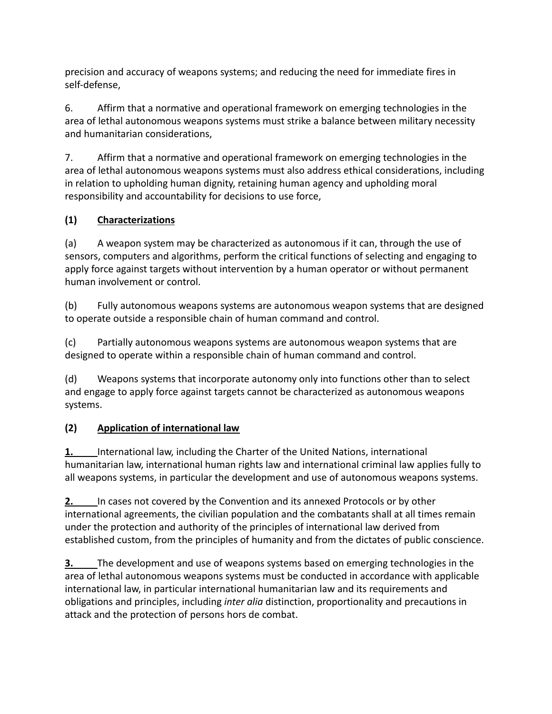precision and accuracy of weapons systems; and reducing the need for immediate fires in self-defense,

6. Affirm that a normative and operational framework on emerging technologies in the area of lethal autonomous weapons systems must strike a balance between military necessity and humanitarian considerations,

7. Affirm that a normative and operational framework on emerging technologies in the area of lethal autonomous weapons systems must also address ethical considerations, including in relation to upholding human dignity, retaining human agency and upholding moral responsibility and accountability for decisions to use force,

# **(1) Characterizations**

(a) A weapon system may be characterized as autonomous if it can, through the use of sensors, computers and algorithms, perform the critical functions of selecting and engaging to apply force against targets without intervention by a human operator or without permanent human involvement or control.

(b) Fully autonomous weapons systems are autonomous weapon systems that are designed to operate outside a responsible chain of human command and control.

(c) Partially autonomous weapons systems are autonomous weapon systems that are designed to operate within a responsible chain of human command and control.

(d) Weapons systems that incorporate autonomy only into functions other than to select and engage to apply force against targets cannot be characterized as autonomous weapons systems.

# **(2) Application of international law**

**1.** International law, including the Charter of the United Nations, international humanitarian law, international human rights law and international criminal law applies fully to all weapons systems, in particular the development and use of autonomous weapons systems.

**2.** In cases not covered by the Convention and its annexed Protocols or by other international agreements, the civilian population and the combatants shall at all times remain under the protection and authority of the principles of international law derived from established custom, from the principles of humanity and from the dictates of public conscience.

**3.** The development and use of weapons systems based on emerging technologies in the area of lethal autonomous weapons systems must be conducted in accordance with applicable international law, in particular international humanitarian law and its requirements and obligations and principles, including *inter alia* distinction, proportionality and precautions in attack and the protection of persons hors de combat.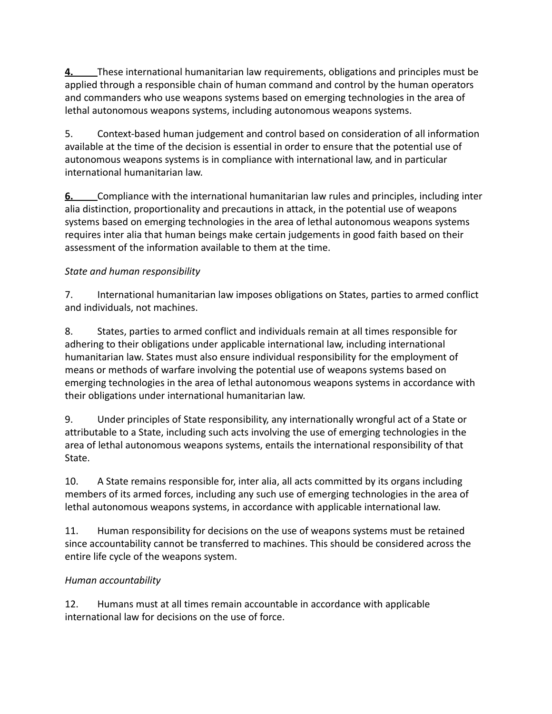**4.** These international humanitarian law requirements, obligations and principles must be applied through a responsible chain of human command and control by the human operators and commanders who use weapons systems based on emerging technologies in the area of lethal autonomous weapons systems, including autonomous weapons systems.

5. Context-based human judgement and control based on consideration of all information available at the time of the decision is essential in order to ensure that the potential use of autonomous weapons systems is in compliance with international law, and in particular international humanitarian law.

**6.** Compliance with the international humanitarian law rules and principles, including inter alia distinction, proportionality and precautions in attack, in the potential use of weapons systems based on emerging technologies in the area of lethal autonomous weapons systems requires inter alia that human beings make certain judgements in good faith based on their assessment of the information available to them at the time.

### *State and human responsibility*

7. International humanitarian law imposes obligations on States, parties to armed conflict and individuals, not machines.

8. States, parties to armed conflict and individuals remain at all times responsible for adhering to their obligations under applicable international law, including international humanitarian law. States must also ensure individual responsibility for the employment of means or methods of warfare involving the potential use of weapons systems based on emerging technologies in the area of lethal autonomous weapons systems in accordance with their obligations under international humanitarian law.

9. Under principles of State responsibility, any internationally wrongful act of a State or attributable to a State, including such acts involving the use of emerging technologies in the area of lethal autonomous weapons systems, entails the international responsibility of that State.

10. A State remains responsible for, inter alia, all acts committed by its organs including members of its armed forces, including any such use of emerging technologies in the area of lethal autonomous weapons systems, in accordance with applicable international law.

11. Human responsibility for decisions on the use of weapons systems must be retained since accountability cannot be transferred to machines. This should be considered across the entire life cycle of the weapons system.

# *Human accountability*

12. Humans must at all times remain accountable in accordance with applicable international law for decisions on the use of force.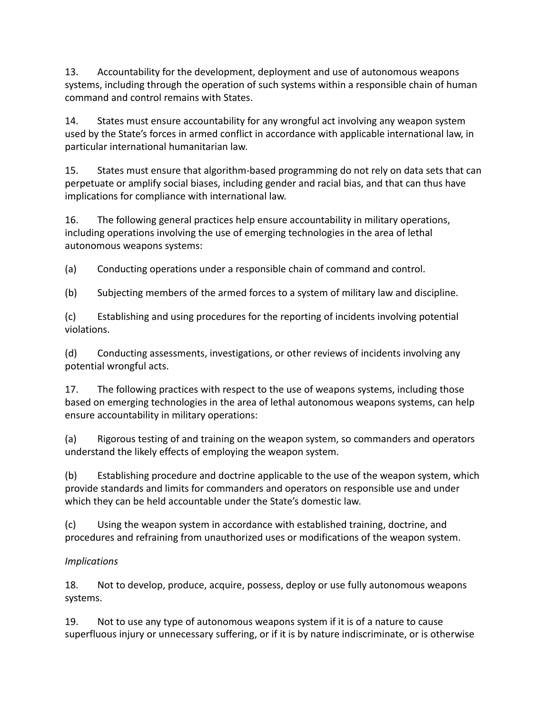13. Accountability for the development, deployment and use of autonomous weapons systems, including through the operation of such systems within a responsible chain of human command and control remains with States.

14. States must ensure accountability for any wrongful act involving any weapon system used by the State's forces in armed conflict in accordance with applicable international law, in particular international humanitarian law.

15. States must ensure that algorithm-based programming do not rely on data sets that can perpetuate or amplify social biases, including gender and racial bias, and that can thus have implications for compliance with international law.

16. The following general practices help ensure accountability in military operations, including operations involving the use of emerging technologies in the area of lethal autonomous weapons systems:

(a) Conducting operations under a responsible chain of command and control.

(b) Subjecting members of the armed forces to a system of military law and discipline.

(c) Establishing and using procedures for the reporting of incidents involving potential violations.

(d) Conducting assessments, investigations, or other reviews of incidents involving any potential wrongful acts.

17. The following practices with respect to the use of weapons systems, including those based on emerging technologies in the area of lethal autonomous weapons systems, can help ensure accountability in military operations:

(a) Rigorous testing of and training on the weapon system, so commanders and operators understand the likely effects of employing the weapon system.

(b) Establishing procedure and doctrine applicable to the use of the weapon system, which provide standards and limits for commanders and operators on responsible use and under which they can be held accountable under the State's domestic law.

(c) Using the weapon system in accordance with established training, doctrine, and procedures and refraining from unauthorized uses or modifications of the weapon system.

### *Implications*

18. Not to develop, produce, acquire, possess, deploy or use fully autonomous weapons systems.

19. Not to use any type of autonomous weapons system if it is of a nature to cause superfluous injury or unnecessary suffering, or if it is by nature indiscriminate, or is otherwise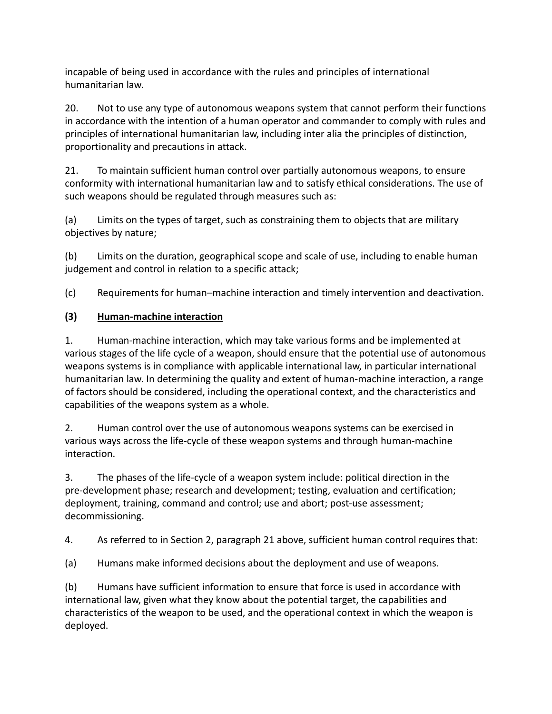incapable of being used in accordance with the rules and principles of international humanitarian law.

20. Not to use any type of autonomous weapons system that cannot perform their functions in accordance with the intention of a human operator and commander to comply with rules and principles of international humanitarian law, including inter alia the principles of distinction, proportionality and precautions in attack.

21. To maintain sufficient human control over partially autonomous weapons, to ensure conformity with international humanitarian law and to satisfy ethical considerations. The use of such weapons should be regulated through measures such as:

(a) Limits on the types of target, such as constraining them to objects that are military objectives by nature;

(b) Limits on the duration, geographical scope and scale of use, including to enable human judgement and control in relation to a specific attack;

(c) Requirements for human–machine interaction and timely intervention and deactivation.

### **(3) Human-machine interaction**

1. Human-machine interaction, which may take various forms and be implemented at various stages of the life cycle of a weapon, should ensure that the potential use of autonomous weapons systems is in compliance with applicable international law, in particular international humanitarian law. In determining the quality and extent of human-machine interaction, a range of factors should be considered, including the operational context, and the characteristics and capabilities of the weapons system as a whole.

2. Human control over the use of autonomous weapons systems can be exercised in various ways across the life-cycle of these weapon systems and through human-machine interaction.

3. The phases of the life-cycle of a weapon system include: political direction in the pre-development phase; research and development; testing, evaluation and certification; deployment, training, command and control; use and abort; post-use assessment; decommissioning.

4. As referred to in Section 2, paragraph 21 above, sufficient human control requires that:

(a) Humans make informed decisions about the deployment and use of weapons.

(b) Humans have sufficient information to ensure that force is used in accordance with international law, given what they know about the potential target, the capabilities and characteristics of the weapon to be used, and the operational context in which the weapon is deployed.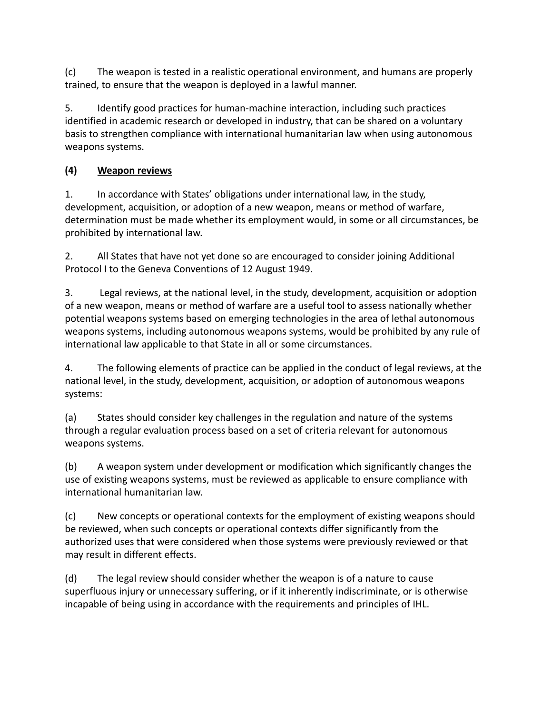(c) The weapon is tested in a realistic operational environment, and humans are properly trained, to ensure that the weapon is deployed in a lawful manner.

5. Identify good practices for human-machine interaction, including such practices identified in academic research or developed in industry, that can be shared on a voluntary basis to strengthen compliance with international humanitarian law when using autonomous weapons systems.

### **(4) Weapon reviews**

1. In accordance with States' obligations under international law, in the study, development, acquisition, or adoption of a new weapon, means or method of warfare, determination must be made whether its employment would, in some or all circumstances, be prohibited by international law.

2. All States that have not yet done so are encouraged to consider joining Additional Protocol I to the Geneva Conventions of 12 August 1949.

3. Legal reviews, at the national level, in the study, development, acquisition or adoption of a new weapon, means or method of warfare are a useful tool to assess nationally whether potential weapons systems based on emerging technologies in the area of lethal autonomous weapons systems, including autonomous weapons systems, would be prohibited by any rule of international law applicable to that State in all or some circumstances.

4. The following elements of practice can be applied in the conduct of legal reviews, at the national level, in the study, development, acquisition, or adoption of autonomous weapons systems:

(a) States should consider key challenges in the regulation and nature of the systems through a regular evaluation process based on a set of criteria relevant for autonomous weapons systems.

(b) A weapon system under development or modification which significantly changes the use of existing weapons systems, must be reviewed as applicable to ensure compliance with international humanitarian law.

(c) New concepts or operational contexts for the employment of existing weapons should be reviewed, when such concepts or operational contexts differ significantly from the authorized uses that were considered when those systems were previously reviewed or that may result in different effects.

(d) The legal review should consider whether the weapon is of a nature to cause superfluous injury or unnecessary suffering, or if it inherently indiscriminate, or is otherwise incapable of being using in accordance with the requirements and principles of IHL.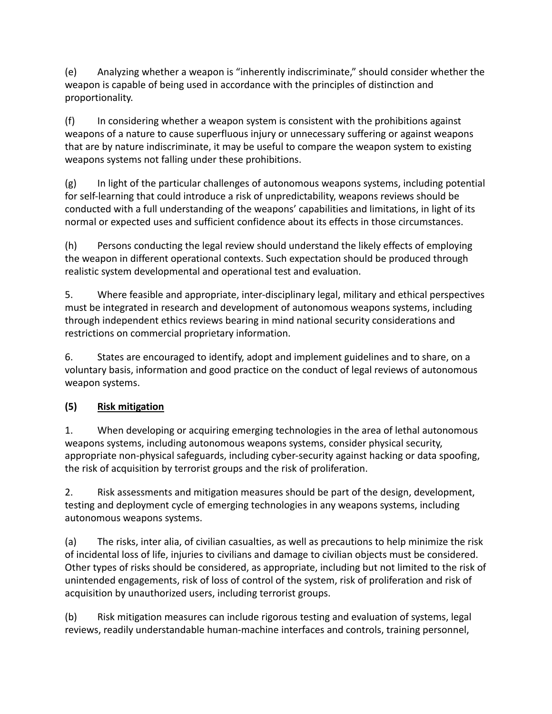(e) Analyzing whether a weapon is "inherently indiscriminate," should consider whether the weapon is capable of being used in accordance with the principles of distinction and proportionality.

(f) In considering whether a weapon system is consistent with the prohibitions against weapons of a nature to cause superfluous injury or unnecessary suffering or against weapons that are by nature indiscriminate, it may be useful to compare the weapon system to existing weapons systems not falling under these prohibitions.

(g) In light of the particular challenges of autonomous weapons systems, including potential for self-learning that could introduce a risk of unpredictability, weapons reviews should be conducted with a full understanding of the weapons' capabilities and limitations, in light of its normal or expected uses and sufficient confidence about its effects in those circumstances.

(h) Persons conducting the legal review should understand the likely effects of employing the weapon in different operational contexts. Such expectation should be produced through realistic system developmental and operational test and evaluation.

5. Where feasible and appropriate, inter-disciplinary legal, military and ethical perspectives must be integrated in research and development of autonomous weapons systems, including through independent ethics reviews bearing in mind national security considerations and restrictions on commercial proprietary information.

6. States are encouraged to identify, adopt and implement guidelines and to share, on a voluntary basis, information and good practice on the conduct of legal reviews of autonomous weapon systems.

# **(5) Risk mitigation**

1. When developing or acquiring emerging technologies in the area of lethal autonomous weapons systems, including autonomous weapons systems, consider physical security, appropriate non-physical safeguards, including cyber-security against hacking or data spoofing, the risk of acquisition by terrorist groups and the risk of proliferation.

2. Risk assessments and mitigation measures should be part of the design, development, testing and deployment cycle of emerging technologies in any weapons systems, including autonomous weapons systems.

(a) The risks, inter alia, of civilian casualties, as well as precautions to help minimize the risk of incidental loss of life, injuries to civilians and damage to civilian objects must be considered. Other types of risks should be considered, as appropriate, including but not limited to the risk of unintended engagements, risk of loss of control of the system, risk of proliferation and risk of acquisition by unauthorized users, including terrorist groups.

(b) Risk mitigation measures can include rigorous testing and evaluation of systems, legal reviews, readily understandable human-machine interfaces and controls, training personnel,